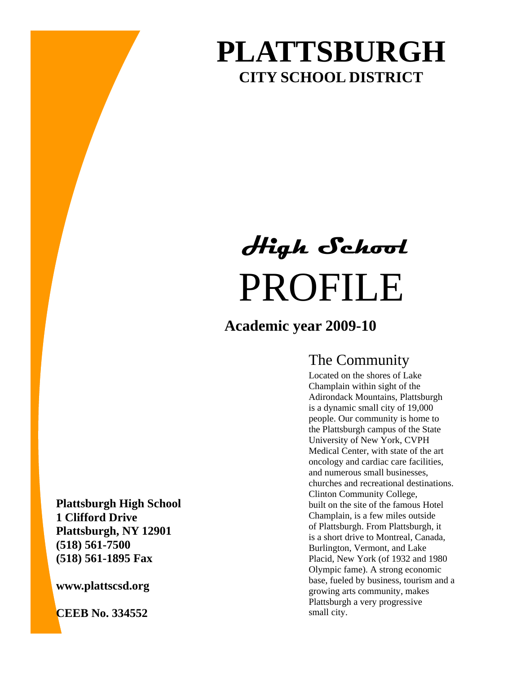## **PLATTSBURGH CITY SCHOOL DISTRICT**

# PROFILE **High School**

## **Academic year 2009-10**

## The Community

Located on the shores of Lake Champlain within sight of the Adirondack Mountains, Plattsburgh is a dynamic small city of 19,000 people. Our community is home to the Plattsburgh campus of the State University of New York, CVPH Medical Center, with state of the art oncology and cardiac care facilities, and numerous small businesses, churches and recreational destinations. Clinton Community College, built on the site of the famous Hotel Champlain, is a few miles outside of Plattsburgh. From Plattsburgh, it is a short drive to Montreal, Canada, Burlington, Vermont, and Lake Placid, New York (of 1932 and 1980 Olympic fame). A strong economic base, fueled by business, tourism and a growing arts community, makes Plattsburgh a very progressive small city.

**Plattsburgh High School 1 Clifford Drive Plattsburgh, NY 12901 (518) 561-7500 (518) 561-1895 Fax** 

**www.plattscsd.org** 

**CEEB No. 334552**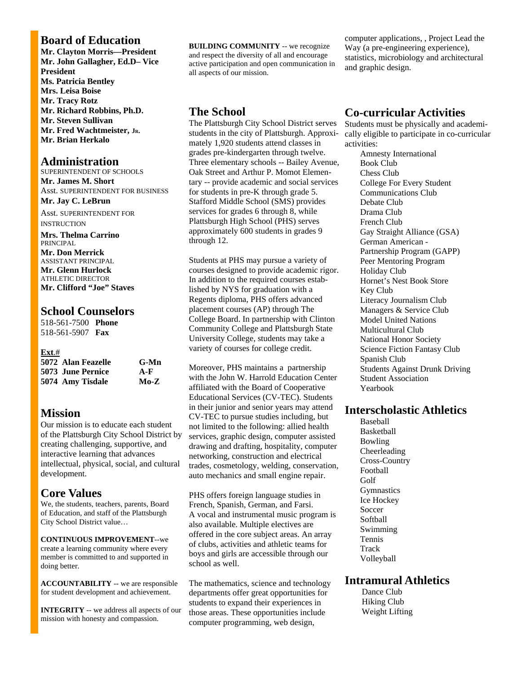#### **Board of Education**

**Mr. Clayton Morris—President Mr. John Gallagher, Ed.D– Vice President Ms. Patricia Bentley Mrs. Leisa Boise Mr. Tracy Rotz Mr. Richard Robbins, Ph.D. Mr. Steven Sullivan Mr. Fred Wachtmeister, JR. Mr. Brian Herkalo** 

#### **Administration**

SUPERINTENDENT OF SCHOOLS **Mr. James M. Short**  Asst. SUPERINTENDENT FOR BUSINESS **Mr. Jay C. LeBrun** 

Asst. SUPERINTENDENT FOR INSTRUCTION

**Mrs. Thelma Carrino**  PRINCIPAL **Mr. Don Merrick** ASSISTANT PRINCIPAL **Mr. Glenn Hurlock** ATHLETIC DIRECTOR **Mr. Clifford "Joe" Staves** 

#### **School Counselors**

518-561-7500 **Phone**  518-561-5907 **Fax** 

#### **Ext**.#

| 5072 Alan Feazelle | $G-Mn$ |
|--------------------|--------|
| 5073 June Pernice  | $A-F$  |
| 5074 Amy Tisdale   | $Mo-Z$ |

#### **Mission**

Our mission is to educate each student of the Plattsburgh City School District by creating challenging, supportive, and interactive learning that advances intellectual, physical, social, and cultural development.

#### **Core Values**

We, the students, teachers, parents, Board of Education, and staff of the Plattsburgh City School District value…

**CONTINUOUS IMPROVEMENT**--we create a learning community where every member is committed to and supported in doing better.

**ACCOUNTABILITY** -- we are responsible for student development and achievement.

**INTEGRITY** -- we address all aspects of our mission with honesty and compassion.

**BUILDING COMMUNITY** -- we recognize and respect the diversity of all and encourage active participation and open communication in all aspects of our mission.

#### **The School**

The Plattsburgh City School District serves students in the city of Plattsburgh. Approximately 1,920 students attend classes in grades pre-kindergarten through twelve. Three elementary schools -- Bailey Avenue, Oak Street and Arthur P. Momot Elementary -- provide academic and social services for students in pre-K through grade 5. Stafford Middle School (SMS) provides services for grades 6 through 8, while Plattsburgh High School (PHS) serves approximately 600 students in grades 9 through 12.

Students at PHS may pursue a variety of courses designed to provide academic rigor. In addition to the required courses established by NYS for graduation with a Regents diploma, PHS offers advanced placement courses (AP) through The College Board. In partnership with Clinton Community College and Plattsburgh State University College, students may take a variety of courses for college credit.

Moreover, PHS maintains a partnership with the John W. Harrold Education Center affiliated with the Board of Cooperative Educational Services (CV-TEC). Students in their junior and senior years may attend CV-TEC to pursue studies including, but not limited to the following: allied health services, graphic design, computer assisted drawing and drafting, hospitality, computer networking, construction and electrical trades, cosmetology, welding, conservation, auto mechanics and small engine repair.

PHS offers foreign language studies in French, Spanish, German, and Farsi. A vocal and instrumental music program is also available. Multiple electives are offered in the core subject areas. An array of clubs, activities and athletic teams for boys and girls are accessible through our school as well.

The mathematics, science and technology departments offer great opportunities for students to expand their experiences in those areas. These opportunities include computer programming, web design,

computer applications, , Project Lead the Way (a pre-engineering experience), statistics, microbiology and architectural and graphic design.

#### **Co-curricular Activities**

Students must be physically and academically eligible to participate in co-curricular activities:

Amnesty International Book Club Chess Club College For Every Student Communications Club Debate Club Drama Club French Club Gay Straight Alliance (GSA) German American - Partnership Program (GAPP) Peer Mentoring Program Holiday Club Hornet's Nest Book Store Key Club Literacy Journalism Club Managers & Service Club Model United Nations Multicultural Club National Honor Society Science Fiction Fantasy Club Spanish Club Students Against Drunk Driving Student Association Yearbook

#### **Interscholastic Athletics**

Baseball **Basketball** Bowling Cheerleading Cross-Country Football Golf **Gymnastics** Ice Hockey Soccer **Softball** Swimming Tennis **Track** Volleyball

#### **Intramural Athletics**

 Dance Club Hiking Club Weight Lifting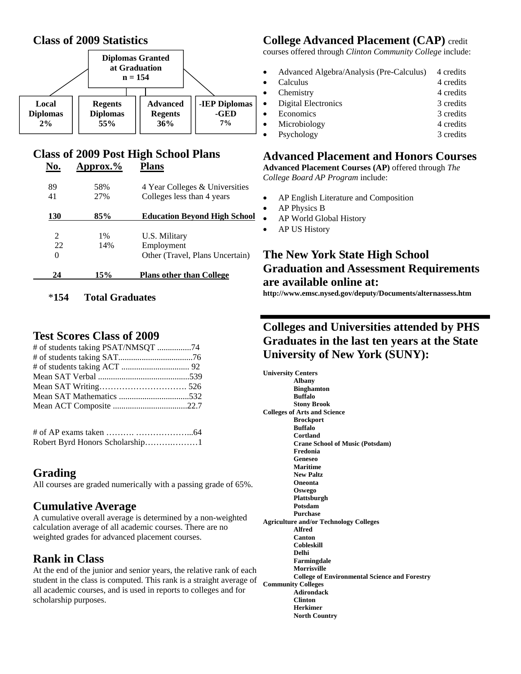#### **Class of 2009 Statistics**



#### **Class of 2009 Post High School Plans No. Approx.% Plans**

| 89                | 58%   | 4 Year Colleges & Universities      |
|-------------------|-------|-------------------------------------|
| 41                | 27%   | Colleges less than 4 years          |
| 130               | 85%   | <b>Education Bevond High School</b> |
|                   |       |                                     |
| 2                 | $1\%$ | U.S. Military                       |
| 22                | 14%   | Employment                          |
| $\mathbf{\Omega}$ |       | Other (Travel, Plans Uncertain)     |
|                   |       |                                     |
| 24                | 15%   | <b>Plans other than College</b>     |

#### \***154 Total Graduates**

#### **Test Scores Class of 2009**

| Robert Byrd Honors Scholarship1 |  |
|---------------------------------|--|

### **Grading**

All courses are graded numerically with a passing grade of 65%.

#### **Cumulative Average**

A cumulative overall average is determined by a non-weighted calculation average of all academic courses. There are no weighted grades for advanced placement courses.

#### **Rank in Class**

At the end of the junior and senior years, the relative rank of each student in the class is computed. This rank is a straight average of all academic courses, and is used in reports to colleges and for scholarship purposes.

## **College Advanced Placement (CAP)** credit

courses offered through *Clinton Community College* include:

• Advanced Algebra/Analysis (Pre-Calculus) 4 credits example 1 calculus 4 credits 4 credits Chemistry 4 credits • Digital Electronics 3 credits • Economics 3 credits • Microbiology 4 credits • Psychology 3 credits

#### **Advanced Placement and Honors Courses**

**Advanced Placement Courses (AP)** offered through *The College Board AP Program* include:

- AP English Literature and Composition
- AP Physics B
- AP World Global History
- AP US History

#### **The New York State High School Graduation and Assessment Requirements are available online at:**

**http://www.emsc.nysed.gov/deputy/Documents/alternassess.htm** 

#### **Colleges and Universities attended by PHS Graduates in the last ten years at the State University of New York (SUNY):**

**University Centers Albany Binghamton Buffalo Stony Brook Colleges of Arts and Science Brockport Buffalo Cortland Crane School of Music (Potsdam) Fredonia Geneseo Maritime New Paltz Oneonta Oswego Plattsburgh Potsdam Purchase Agriculture and/or Technology Colleges Alfred Canton Cobleskill Delhi Farmingdale Morrisville College of Environmental Science and Forestry Community Colleges Adirondack Clinton Herkimer North Country**